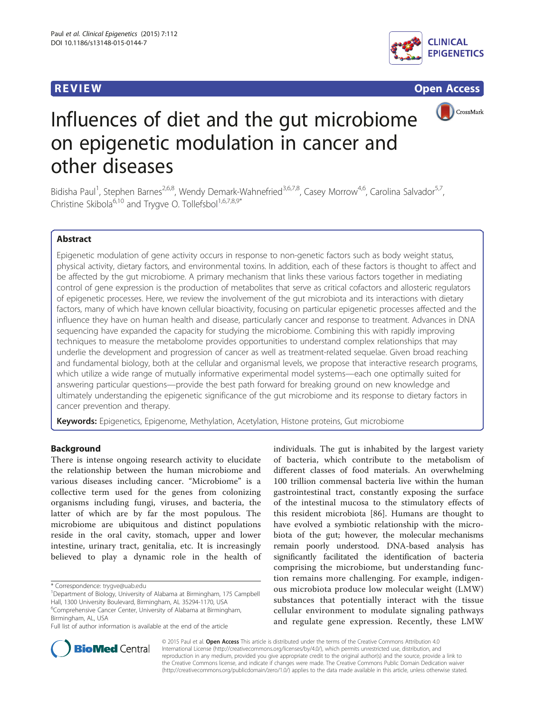





# Influences of diet and the gut microbiome on epigenetic modulation in cancer and other diseases

Bidisha Paul<sup>1</sup>, Stephen Barnes<sup>2,6,8</sup>, Wendy Demark-Wahnefried<sup>3,6,7,8</sup>, Casey Morrow<sup>4,6</sup>, Carolina Salvador<sup>5,7</sup>, Christine Skibola<sup>6,10</sup> and Trygve O. Tollefsbol<sup>1,6,7,8,9\*</sup>

# Abstract

Epigenetic modulation of gene activity occurs in response to non-genetic factors such as body weight status, physical activity, dietary factors, and environmental toxins. In addition, each of these factors is thought to affect and be affected by the gut microbiome. A primary mechanism that links these various factors together in mediating control of gene expression is the production of metabolites that serve as critical cofactors and allosteric regulators of epigenetic processes. Here, we review the involvement of the gut microbiota and its interactions with dietary factors, many of which have known cellular bioactivity, focusing on particular epigenetic processes affected and the influence they have on human health and disease, particularly cancer and response to treatment. Advances in DNA sequencing have expanded the capacity for studying the microbiome. Combining this with rapidly improving techniques to measure the metabolome provides opportunities to understand complex relationships that may underlie the development and progression of cancer as well as treatment-related sequelae. Given broad reaching and fundamental biology, both at the cellular and organismal levels, we propose that interactive research programs, which utilize a wide range of mutually informative experimental model systems—each one optimally suited for answering particular questions—provide the best path forward for breaking ground on new knowledge and ultimately understanding the epigenetic significance of the gut microbiome and its response to dietary factors in cancer prevention and therapy.

Keywords: Epigenetics, Epigenome, Methylation, Acetylation, Histone proteins, Gut microbiome

# Background

There is intense ongoing research activity to elucidate the relationship between the human microbiome and various diseases including cancer. "Microbiome" is a collective term used for the genes from colonizing organisms including fungi, viruses, and bacteria, the latter of which are by far the most populous. The microbiome are ubiquitous and distinct populations reside in the oral cavity, stomach, upper and lower intestine, urinary tract, genitalia, etc. It is increasingly believed to play a dynamic role in the health of

<sup>1</sup>Department of Biology, University of Alabama at Birmingham, 175 Campbell Hall, 1300 University Boulevard, Birmingham, AL 35294-1170, USA

6 Comprehensive Cancer Center, University of Alabama at Birmingham, Birmingham, AL, USA

Full list of author information is available at the end of the article

individuals. The gut is inhabited by the largest variety of bacteria, which contribute to the metabolism of different classes of food materials. An overwhelming 100 trillion commensal bacteria live within the human gastrointestinal tract, constantly exposing the surface of the intestinal mucosa to the stimulatory effects of this resident microbiota [[86\]](#page-10-0). Humans are thought to have evolved a symbiotic relationship with the microbiota of the gut; however, the molecular mechanisms remain poorly understood. DNA-based analysis has significantly facilitated the identification of bacteria comprising the microbiome, but understanding function remains more challenging. For example, indigenous microbiota produce low molecular weight (LMW) substances that potentially interact with the tissue cellular environment to modulate signaling pathways and regulate gene expression. Recently, these LMW



© 2015 Paul et al. Open Access This article is distributed under the terms of the Creative Commons Attribution 4.0 International License [\(http://creativecommons.org/licenses/by/4.0/](http://creativecommons.org/licenses/by/4.0/)), which permits unrestricted use, distribution, and reproduction in any medium, provided you give appropriate credit to the original author(s) and the source, provide a link to the Creative Commons license, and indicate if changes were made. The Creative Commons Public Domain Dedication waiver [\(http://creativecommons.org/publicdomain/zero/1.0/](http://creativecommons.org/publicdomain/zero/1.0/)) applies to the data made available in this article, unless otherwise stated.

<sup>\*</sup> Correspondence: [trygve@uab.edu](mailto:trygve@uab.edu) <sup>1</sup>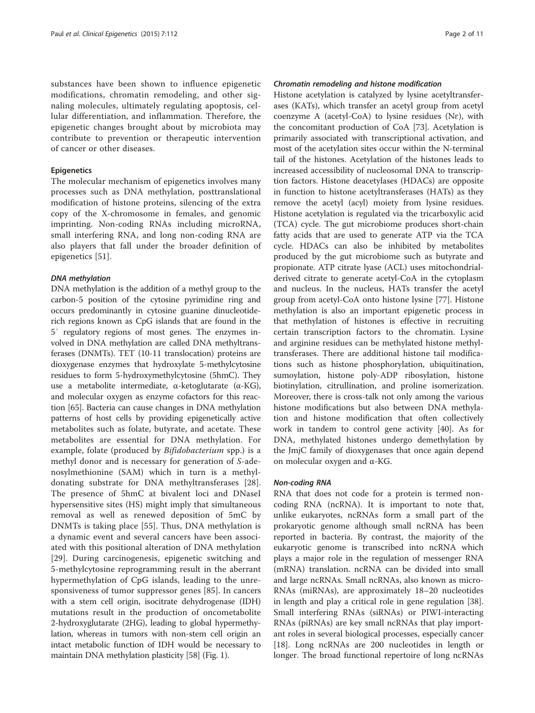substances have been shown to influence epigenetic modifications, chromatin remodeling, and other signaling molecules, ultimately regulating apoptosis, cellular differentiation, and inflammation. Therefore, the epigenetic changes brought about by microbiota may contribute to prevention or therapeutic intervention of cancer or other diseases.

#### **Epigenetics**

The molecular mechanism of epigenetics involves many processes such as DNA methylation, posttranslational modification of histone proteins, silencing of the extra copy of the X-chromosome in females, and genomic imprinting. Non-coding RNAs including microRNA, small interfering RNA, and long non-coding RNA are also players that fall under the broader definition of epigenetics [[51\]](#page-9-0).

#### DNA methylation

DNA methylation is the addition of a methyl group to the carbon-5 position of the cytosine pyrimidine ring and occurs predominantly in cytosine guanine dinucleotiderich regions known as CpG islands that are found in the 5′ regulatory regions of most genes. The enzymes involved in DNA methylation are called DNA methyltransferases (DNMTs). TET (10-11 translocation) proteins are dioxygenase enzymes that hydroxylate 5-methylcytosine residues to form 5-hydroxymethylcytosine (5hmC). They use a metabolite intermediate, α-ketoglutarate (α-KG), and molecular oxygen as enzyme cofactors for this reaction [[65](#page-9-0)]. Bacteria can cause changes in DNA methylation patterns of host cells by providing epigenetically active metabolites such as folate, butyrate, and acetate. These metabolites are essential for DNA methylation. For example, folate (produced by *Bifidobacterium* spp.) is a methyl donor and is necessary for generation of S-adenosylmethionine (SAM) which in turn is a methyldonating substrate for DNA methyltransferases [\[28](#page-9-0)]. The presence of 5hmC at bivalent loci and DNaseI hypersensitive sites (HS) might imply that simultaneous removal as well as renewed deposition of 5mC by DNMTs is taking place [\[55](#page-9-0)]. Thus, DNA methylation is a dynamic event and several cancers have been associated with this positional alteration of DNA methylation [[29\]](#page-9-0). During carcinogenesis, epigenetic switching and 5-methylcytosine reprogramming result in the aberrant hypermethylation of CpG islands, leading to the unresponsiveness of tumor suppressor genes [[85\]](#page-10-0). In cancers with a stem cell origin, isocitrate dehydrogenase (IDH) mutations result in the production of oncometabolite 2-hydroxyglutarate (2HG), leading to global hypermethylation, whereas in tumors with non-stem cell origin an intact metabolic function of IDH would be necessary to maintain DNA methylation plasticity [\[58\]](#page-9-0) (Fig. [1](#page-3-0)).

#### Chromatin remodeling and histone modification

Histone acetylation is catalyzed by lysine acetyltransferases (KATs), which transfer an acetyl group from acetyl coenzyme A (acetyl-CoA) to lysine residues (N $\varepsilon$ ), with the concomitant production of CoA [\[73\]](#page-10-0). Acetylation is primarily associated with transcriptional activation, and most of the acetylation sites occur within the N-terminal tail of the histones. Acetylation of the histones leads to increased accessibility of nucleosomal DNA to transcription factors. Histone deacetylases (HDACs) are opposite in function to histone acetyltransferases (HATs) as they remove the acetyl (acyl) moiety from lysine residues. Histone acetylation is regulated via the tricarboxylic acid (TCA) cycle. The gut microbiome produces short-chain fatty acids that are used to generate ATP via the TCA cycle. HDACs can also be inhibited by metabolites produced by the gut microbiome such as butyrate and propionate. ATP citrate lyase (ACL) uses mitochondrialderived citrate to generate acetyl-CoA in the cytoplasm and nucleus. In the nucleus, HATs transfer the acetyl group from acetyl-CoA onto histone lysine [\[77](#page-10-0)]. Histone methylation is also an important epigenetic process in that methylation of histones is effective in recruiting certain transcription factors to the chromatin. Lysine and arginine residues can be methylated histone methyltransferases. There are additional histone tail modifications such as histone phosphorylation, ubiquitination, sumoylation, histone poly-ADP ribosylation, histone biotinylation, citrullination, and proline isomerization. Moreover, there is cross-talk not only among the various histone modifications but also between DNA methylation and histone modification that often collectively work in tandem to control gene activity [\[40](#page-9-0)]. As for DNA, methylated histones undergo demethylation by the JmjC family of dioxygenases that once again depend on molecular oxygen and α-KG.

#### Non-coding RNA

RNA that does not code for a protein is termed noncoding RNA (ncRNA). It is important to note that, unlike eukaryotes, ncRNAs form a small part of the prokaryotic genome although small ncRNA has been reported in bacteria. By contrast, the majority of the eukaryotic genome is transcribed into ncRNA which plays a major role in the regulation of messenger RNA (mRNA) translation. ncRNA can be divided into small and large ncRNAs. Small ncRNAs, also known as micro-RNAs (miRNAs), are approximately 18–20 nucleotides in length and play a critical role in gene regulation [\[38](#page-9-0)]. Small interfering RNAs (siRNAs) or PIWI-interacting RNAs (piRNAs) are key small ncRNAs that play important roles in several biological processes, especially cancer [[18\]](#page-8-0). Long ncRNAs are 200 nucleotides in length or longer. The broad functional repertoire of long ncRNAs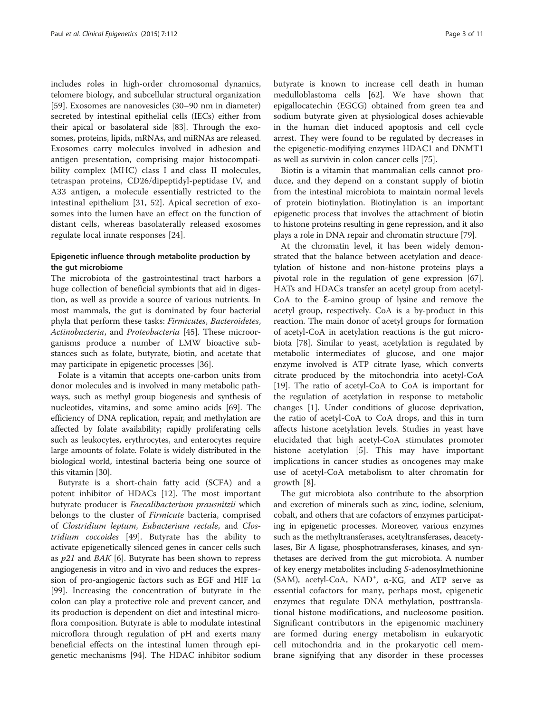includes roles in high-order chromosomal dynamics, telomere biology, and subcellular structural organization [[59\]](#page-9-0). Exosomes are nanovesicles (30–90 nm in diameter) secreted by intestinal epithelial cells (IECs) either from their apical or basolateral side [[83](#page-10-0)]. Through the exosomes, proteins, lipids, mRNAs, and miRNAs are released. Exosomes carry molecules involved in adhesion and antigen presentation, comprising major histocompatibility complex (MHC) class I and class II molecules, tetraspan proteins, CD26/dipeptidyl-peptidase IV, and A33 antigen, a molecule essentially restricted to the intestinal epithelium [\[31](#page-9-0), [52\]](#page-9-0). Apical secretion of exosomes into the lumen have an effect on the function of distant cells, whereas basolaterally released exosomes regulate local innate responses [[24\]](#page-9-0).

# Epigenetic influence through metabolite production by the gut microbiome

The microbiota of the gastrointestinal tract harbors a huge collection of beneficial symbionts that aid in digestion, as well as provide a source of various nutrients. In most mammals, the gut is dominated by four bacterial phyla that perform these tasks: Firmicutes, Bacteroidetes, Actinobacteria, and Proteobacteria [\[45\]](#page-9-0). These microorganisms produce a number of LMW bioactive substances such as folate, butyrate, biotin, and acetate that may participate in epigenetic processes [\[36](#page-9-0)].

Folate is a vitamin that accepts one-carbon units from donor molecules and is involved in many metabolic pathways, such as methyl group biogenesis and synthesis of nucleotides, vitamins, and some amino acids [[69](#page-10-0)]. The efficiency of DNA replication, repair, and methylation are affected by folate availability; rapidly proliferating cells such as leukocytes, erythrocytes, and enterocytes require large amounts of folate. Folate is widely distributed in the biological world, intestinal bacteria being one source of this vitamin [[30](#page-9-0)].

Butyrate is a short-chain fatty acid (SCFA) and a potent inhibitor of HDACs [\[12](#page-8-0)]. The most important butyrate producer is Faecalibacterium prausnitzii which belongs to the cluster of *Firmicute* bacteria, comprised of Clostridium leptum, Eubacterium rectale, and Clostridium coccoides [\[49](#page-9-0)]. Butyrate has the ability to activate epigenetically silenced genes in cancer cells such as  $p21$  and  $BAK$  [[6\]](#page-8-0). Butyrate has been shown to repress angiogenesis in vitro and in vivo and reduces the expression of pro-angiogenic factors such as EGF and HIF 1α [[99\]](#page-10-0). Increasing the concentration of butyrate in the colon can play a protective role and prevent cancer, and its production is dependent on diet and intestinal microflora composition. Butyrate is able to modulate intestinal microflora through regulation of pH and exerts many beneficial effects on the intestinal lumen through epigenetic mechanisms [\[94\]](#page-10-0). The HDAC inhibitor sodium

butyrate is known to increase cell death in human medulloblastoma cells [\[62\]](#page-9-0). We have shown that epigallocatechin (EGCG) obtained from green tea and sodium butyrate given at physiological doses achievable in the human diet induced apoptosis and cell cycle arrest. They were found to be regulated by decreases in the epigenetic-modifying enzymes HDAC1 and DNMT1 as well as survivin in colon cancer cells [[75\]](#page-10-0).

Biotin is a vitamin that mammalian cells cannot produce, and they depend on a constant supply of biotin from the intestinal microbiota to maintain normal levels of protein biotinylation. Biotinylation is an important epigenetic process that involves the attachment of biotin to histone proteins resulting in gene repression, and it also plays a role in DNA repair and chromatin structure [\[79\]](#page-10-0).

At the chromatin level, it has been widely demonstrated that the balance between acetylation and deacetylation of histone and non-histone proteins plays a pivotal role in the regulation of gene expression [\[67](#page-9-0)]. HATs and HDACs transfer an acetyl group from acetyl-CoA to the  $E$ -amino group of lysine and remove the acetyl group, respectively. CoA is a by-product in this reaction. The main donor of acetyl groups for formation of acetyl-CoA in acetylation reactions is the gut microbiota [[78\]](#page-10-0). Similar to yeast, acetylation is regulated by metabolic intermediates of glucose, and one major enzyme involved is ATP citrate lyase, which converts citrate produced by the mitochondria into acetyl-CoA [[19\]](#page-9-0). The ratio of acetyl-CoA to CoA is important for the regulation of acetylation in response to metabolic changes [[1\]](#page-8-0). Under conditions of glucose deprivation, the ratio of acetyl-CoA to CoA drops, and this in turn affects histone acetylation levels. Studies in yeast have elucidated that high acetyl-CoA stimulates promoter histone acetylation [[5\]](#page-8-0). This may have important implications in cancer studies as oncogenes may make use of acetyl-CoA metabolism to alter chromatin for growth [\[8](#page-8-0)].

The gut microbiota also contribute to the absorption and excretion of minerals such as zinc, iodine, selenium, cobalt, and others that are cofactors of enzymes participating in epigenetic processes. Moreover, various enzymes such as the methyltransferases, acetyltransferases, deacetylases, Bir A ligase, phosphotransferases, kinases, and synthetases are derived from the gut microbiota. A number of key energy metabolites including S-adenosylmethionine (SAM), acetyl-CoA, NAD<sup>+</sup>, α-KG, and ATP serve as essential cofactors for many, perhaps most, epigenetic enzymes that regulate DNA methylation, posttranslational histone modifications, and nucleosome position. Significant contributors in the epigenomic machinery are formed during energy metabolism in eukaryotic cell mitochondria and in the prokaryotic cell membrane signifying that any disorder in these processes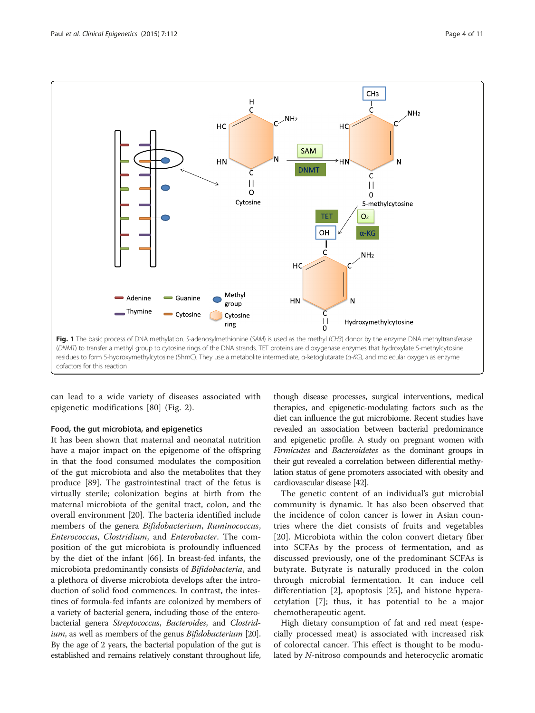<span id="page-3-0"></span>

can lead to a wide variety of diseases associated with epigenetic modifications [\[80](#page-10-0)] (Fig. [2\)](#page-4-0).

# Food, the gut microbiota, and epigenetics

It has been shown that maternal and neonatal nutrition have a major impact on the epigenome of the offspring in that the food consumed modulates the composition of the gut microbiota and also the metabolites that they produce [[89\]](#page-10-0). The gastrointestinal tract of the fetus is virtually sterile; colonization begins at birth from the maternal microbiota of the genital tract, colon, and the overall environment [[20\]](#page-9-0). The bacteria identified include members of the genera *Bifidobacterium*, *Ruminococcus*, Enterococcus, Clostridium, and Enterobacter. The composition of the gut microbiota is profoundly influenced by the diet of the infant [[66\]](#page-9-0). In breast-fed infants, the microbiota predominantly consists of Bifidobacteria, and a plethora of diverse microbiota develops after the introduction of solid food commences. In contrast, the intestines of formula-fed infants are colonized by members of a variety of bacterial genera, including those of the enterobacterial genera Streptococcus, Bacteroides, and Clostrid*ium*, as well as members of the genus *Bifidobacterium* [\[20](#page-9-0)]. By the age of 2 years, the bacterial population of the gut is established and remains relatively constant throughout life,

though disease processes, surgical interventions, medical therapies, and epigenetic-modulating factors such as the diet can influence the gut microbiome. Recent studies have revealed an association between bacterial predominance and epigenetic profile. A study on pregnant women with Firmicutes and Bacteroidetes as the dominant groups in their gut revealed a correlation between differential methylation status of gene promoters associated with obesity and cardiovascular disease [\[42\]](#page-9-0).

The genetic content of an individual's gut microbial community is dynamic. It has also been observed that the incidence of colon cancer is lower in Asian countries where the diet consists of fruits and vegetables [[20](#page-9-0)]. Microbiota within the colon convert dietary fiber into SCFAs by the process of fermentation, and as discussed previously, one of the predominant SCFAs is butyrate. Butyrate is naturally produced in the colon through microbial fermentation. It can induce cell differentiation [\[2](#page-8-0)], apoptosis [[25\]](#page-9-0), and histone hyperacetylation [[7\]](#page-8-0); thus, it has potential to be a major chemotherapeutic agent.

High dietary consumption of fat and red meat (especially processed meat) is associated with increased risk of colorectal cancer. This effect is thought to be modulated by N-nitroso compounds and heterocyclic aromatic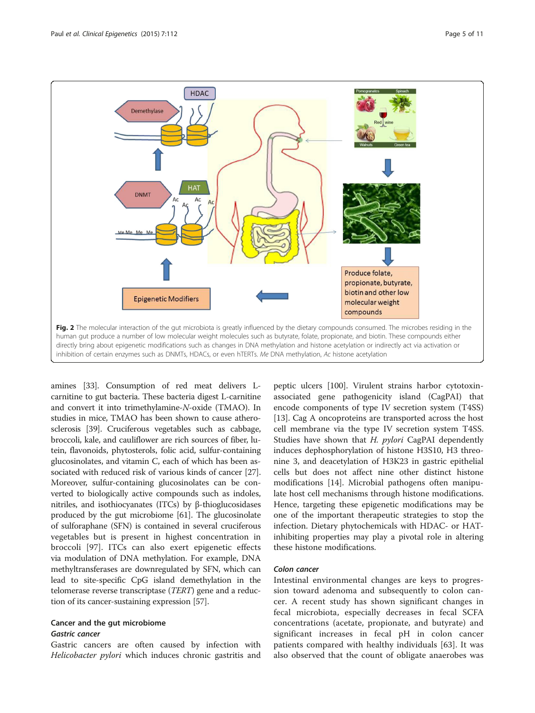<span id="page-4-0"></span>

amines [[33](#page-9-0)]. Consumption of red meat delivers Lcarnitine to gut bacteria. These bacteria digest L-carnitine and convert it into trimethylamine-N-oxide (TMAO). In studies in mice, TMAO has been shown to cause atherosclerosis [[39](#page-9-0)]. Cruciferous vegetables such as cabbage, broccoli, kale, and cauliflower are rich sources of fiber, lutein, flavonoids, phytosterols, folic acid, sulfur-containing glucosinolates, and vitamin C, each of which has been associated with reduced risk of various kinds of cancer [[27](#page-9-0)]. Moreover, sulfur-containing glucosinolates can be converted to biologically active compounds such as indoles, nitriles, and isothiocyanates (ITCs) by β-thioglucosidases produced by the gut microbiome [[61](#page-9-0)]. The glucosinolate of sulforaphane (SFN) is contained in several cruciferous vegetables but is present in highest concentration in broccoli [\[97](#page-10-0)]. ITCs can also exert epigenetic effects via modulation of DNA methylation. For example, DNA methyltransferases are downregulated by SFN, which can lead to site-specific CpG island demethylation in the telomerase reverse transcriptase (TERT) gene and a reduction of its cancer-sustaining expression [\[57\]](#page-9-0).

# Cancer and the gut microbiome Gastric cancer

Gastric cancers are often caused by infection with Helicobacter pylori which induces chronic gastritis and

peptic ulcers [[100](#page-10-0)]. Virulent strains harbor cytotoxinassociated gene pathogenicity island (CagPAI) that encode components of type IV secretion system (T4SS) [[13\]](#page-8-0). Cag A oncoproteins are transported across the host cell membrane via the type IV secretion system T4SS. Studies have shown that H. pylori CagPAI dependently induces dephosphorylation of histone H3S10, H3 threonine 3, and deacetylation of H3K23 in gastric epithelial cells but does not affect nine other distinct histone modifications [[14\]](#page-8-0). Microbial pathogens often manipulate host cell mechanisms through histone modifications. Hence, targeting these epigenetic modifications may be one of the important therapeutic strategies to stop the infection. Dietary phytochemicals with HDAC- or HATinhibiting properties may play a pivotal role in altering these histone modifications.

#### Colon cancer

Intestinal environmental changes are keys to progression toward adenoma and subsequently to colon cancer. A recent study has shown significant changes in fecal microbiota, especially decreases in fecal SCFA concentrations (acetate, propionate, and butyrate) and significant increases in fecal pH in colon cancer patients compared with healthy individuals [[63\]](#page-9-0). It was also observed that the count of obligate anaerobes was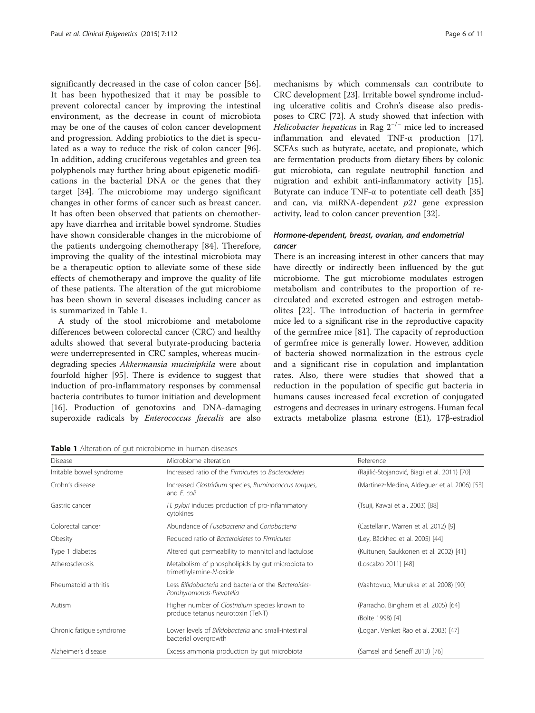significantly decreased in the case of colon cancer [\[56](#page-9-0)]. It has been hypothesized that it may be possible to prevent colorectal cancer by improving the intestinal environment, as the decrease in count of microbiota may be one of the causes of colon cancer development and progression. Adding probiotics to the diet is speculated as a way to reduce the risk of colon cancer [\[96](#page-10-0)]. In addition, adding cruciferous vegetables and green tea polyphenols may further bring about epigenetic modifications in the bacterial DNA or the genes that they target [[34](#page-9-0)]. The microbiome may undergo significant changes in other forms of cancer such as breast cancer. It has often been observed that patients on chemotherapy have diarrhea and irritable bowel syndrome. Studies have shown considerable changes in the microbiome of the patients undergoing chemotherapy [[84\]](#page-10-0). Therefore, improving the quality of the intestinal microbiota may be a therapeutic option to alleviate some of these side effects of chemotherapy and improve the quality of life of these patients. The alteration of the gut microbiome has been shown in several diseases including cancer as is summarized in Table 1.

A study of the stool microbiome and metabolome differences between colorectal cancer (CRC) and healthy adults showed that several butyrate-producing bacteria were underrepresented in CRC samples, whereas mucindegrading species Akkermansia muciniphila were about fourfold higher [[95\]](#page-10-0). There is evidence to suggest that induction of pro-inflammatory responses by commensal bacteria contributes to tumor initiation and development [[16\]](#page-8-0). Production of genotoxins and DNA-damaging superoxide radicals by Enterococcus faecalis are also

Table 1 Alteration of gut microbiome in human diseases

mechanisms by which commensals can contribute to CRC development [[23\]](#page-9-0). Irritable bowel syndrome including ulcerative colitis and Crohn's disease also predisposes to CRC [[72\]](#page-10-0). A study showed that infection with Helicobacter hepaticus in Rag  $2^{-/-}$  mice led to increased inflammation and elevated TNF-α production [\[17](#page-8-0)]. SCFAs such as butyrate, acetate, and propionate, which are fermentation products from dietary fibers by colonic gut microbiota, can regulate neutrophil function and migration and exhibit anti-inflammatory activity [\[15](#page-8-0)]. Butyrate can induce TNF- $\alpha$  to potentiate cell death [[35](#page-9-0)] and can, via miRNA-dependent  $p21$  gene expression activity, lead to colon cancer prevention [[32\]](#page-9-0).

# Hormone-dependent, breast, ovarian, and endometrial cancer

There is an increasing interest in other cancers that may have directly or indirectly been influenced by the gut microbiome. The gut microbiome modulates estrogen metabolism and contributes to the proportion of recirculated and excreted estrogen and estrogen metabolites [[22\]](#page-9-0). The introduction of bacteria in germfree mice led to a significant rise in the reproductive capacity of the germfree mice [\[81](#page-10-0)]. The capacity of reproduction of germfree mice is generally lower. However, addition of bacteria showed normalization in the estrous cycle and a significant rise in copulation and implantation rates. Also, there were studies that showed that a reduction in the population of specific gut bacteria in humans causes increased fecal excretion of conjugated estrogens and decreases in urinary estrogens. Human fecal extracts metabolize plasma estrone (E1), 17β-estradiol

| <b>Disease</b>           | Microbiome alteration                                                            | Reference                                    |  |
|--------------------------|----------------------------------------------------------------------------------|----------------------------------------------|--|
| Irritable bowel syndrome | Increased ratio of the Firmicutes to Bacteroidetes                               | (Rajilić-Stojanović, Biagi et al. 2011) [70] |  |
| Crohn's disease          | Increased Clostridium species, Ruminococcus torques,<br>and E. coli              | (Martinez-Medina, Aldeguer et al. 2006) [53] |  |
| Gastric cancer           | H. pylori induces production of pro-inflammatory<br>cytokines                    | (Tsuji, Kawai et al. 2003) [88]              |  |
| Colorectal cancer        | Abundance of Fusobacteria and Coriobacteria                                      | (Castellarin, Warren et al. 2012) [9]        |  |
| Obesity                  | Reduced ratio of Bacteroidetes to Firmicutes                                     | (Ley, Bäckhed et al. 2005) [44]              |  |
| Type 1 diabetes          | Altered gut permeability to mannitol and lactulose                               | (Kuitunen, Saukkonen et al. 2002) [41]       |  |
| Atherosclerosis          | Metabolism of phospholipids by gut microbiota to<br>trimethylamine-N-oxide       | (Loscalzo 2011) [48]                         |  |
| Rheumatoid arthritis     | Less Bifidobacteria and bacteria of the Bacteroides-<br>Porphyromonas-Prevotella | (Vaahtovuo, Munukka et al. 2008) [90]        |  |
| Autism                   | Higher number of Clostridium species known to                                    | (Parracho, Bingham et al. 2005) [64]         |  |
|                          | produce tetanus neurotoxin (TeNT)                                                | (Bolte 1998) [4]                             |  |
| Chronic fatigue syndrome | Lower levels of Bifidobacteria and small-intestinal<br>bacterial overgrowth      | (Logan, Venket Rao et al. 2003) [47]         |  |
| Alzheimer's disease      | Excess ammonia production by gut microbiota                                      | (Samsel and Seneff 2013) [76]                |  |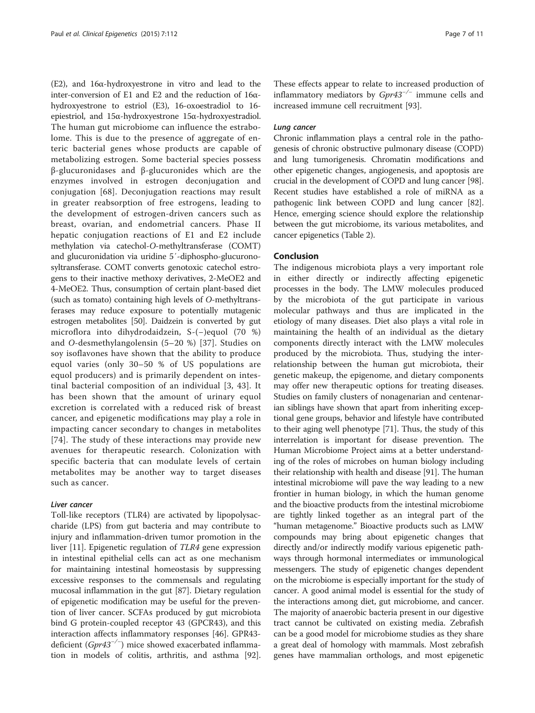(E2), and 16α-hydroxyestrone in vitro and lead to the inter-conversion of E1 and E2 and the reduction of 16αhydroxyestrone to estriol (E3), 16-oxoestradiol to 16 epiestriol, and 15α-hydroxyestrone 15α-hydroxyestradiol. The human gut microbiome can influence the estrabolome. This is due to the presence of aggregate of enteric bacterial genes whose products are capable of metabolizing estrogen. Some bacterial species possess β-glucuronidases and β-glucuronides which are the enzymes involved in estrogen deconjugation and conjugation [[68\]](#page-9-0). Deconjugation reactions may result in greater reabsorption of free estrogens, leading to the development of estrogen-driven cancers such as breast, ovarian, and endometrial cancers. Phase II hepatic conjugation reactions of E1 and E2 include methylation via catechol-O-methyltransferase (COMT) and glucuronidation via uridine 5′-diphospho-glucuronosyltransferase. COMT converts genotoxic catechol estrogens to their inactive methoxy derivatives, 2-MeOE2 and 4-MeOE2. Thus, consumption of certain plant-based diet (such as tomato) containing high levels of O-methyltransferases may reduce exposure to potentially mutagenic estrogen metabolites [\[50\]](#page-9-0). Daidzein is converted by gut microflora into dihydrodaidzein, S-(−)equol (70 %) and O-desmethylangolensin (5–20 %) [[37\]](#page-9-0). Studies on soy isoflavones have shown that the ability to produce equol varies (only 30–50 % of US populations are equol producers) and is primarily dependent on intestinal bacterial composition of an individual [[3,](#page-8-0) [43](#page-9-0)]. It has been shown that the amount of urinary equol excretion is correlated with a reduced risk of breast cancer, and epigenetic modifications may play a role in impacting cancer secondary to changes in metabolites [[74](#page-10-0)]. The study of these interactions may provide new avenues for therapeutic research. Colonization with specific bacteria that can modulate levels of certain metabolites may be another way to target diseases such as cancer.

#### Liver cancer

Toll-like receptors (TLR4) are activated by lipopolysaccharide (LPS) from gut bacteria and may contribute to injury and inflammation-driven tumor promotion in the liver [[11](#page-8-0)]. Epigenetic regulation of TLR4 gene expression in intestinal epithelial cells can act as one mechanism for maintaining intestinal homeostasis by suppressing excessive responses to the commensals and regulating mucosal inflammation in the gut [\[87\]](#page-10-0). Dietary regulation of epigenetic modification may be useful for the prevention of liver cancer. SCFAs produced by gut microbiota bind G protein-coupled receptor 43 (GPCR43), and this interaction affects inflammatory responses [[46](#page-9-0)]. GPR43 deficient (Gpr43<sup>-/-</sup>) mice showed exacerbated inflammation in models of colitis, arthritis, and asthma [\[92](#page-10-0)].

These effects appear to relate to increased production of inflammatory mediators by  $Gpr43^{-/-}$  immune cells and increased immune cell recruitment [[93](#page-10-0)].

#### Lung cancer

Chronic inflammation plays a central role in the pathogenesis of chronic obstructive pulmonary disease (COPD) and lung tumorigenesis. Chromatin modifications and other epigenetic changes, angiogenesis, and apoptosis are crucial in the development of COPD and lung cancer [[98](#page-10-0)]. Recent studies have established a role of miRNA as a pathogenic link between COPD and lung cancer [[82](#page-10-0)]. Hence, emerging science should explore the relationship between the gut microbiome, its various metabolites, and cancer epigenetics (Table [2](#page-7-0)).

#### Conclusion

The indigenous microbiota plays a very important role in either directly or indirectly affecting epigenetic processes in the body. The LMW molecules produced by the microbiota of the gut participate in various molecular pathways and thus are implicated in the etiology of many diseases. Diet also plays a vital role in maintaining the health of an individual as the dietary components directly interact with the LMW molecules produced by the microbiota. Thus, studying the interrelationship between the human gut microbiota, their genetic makeup, the epigenome, and dietary components may offer new therapeutic options for treating diseases. Studies on family clusters of nonagenarian and centenarian siblings have shown that apart from inheriting exceptional gene groups, behavior and lifestyle have contributed to their aging well phenotype [\[71\]](#page-10-0). Thus, the study of this interrelation is important for disease prevention. The Human Microbiome Project aims at a better understanding of the roles of microbes on human biology including their relationship with health and disease [\[91\]](#page-10-0). The human intestinal microbiome will pave the way leading to a new frontier in human biology, in which the human genome and the bioactive products from the intestinal microbiome are tightly linked together as an integral part of the "human metagenome." Bioactive products such as LMW compounds may bring about epigenetic changes that directly and/or indirectly modify various epigenetic pathways through hormonal intermediates or immunological messengers. The study of epigenetic changes dependent on the microbiome is especially important for the study of cancer. A good animal model is essential for the study of the interactions among diet, gut microbiome, and cancer. The majority of anaerobic bacteria present in our digestive tract cannot be cultivated on existing media. Zebrafish can be a good model for microbiome studies as they share a great deal of homology with mammals. Most zebrafish genes have mammalian orthologs, and most epigenetic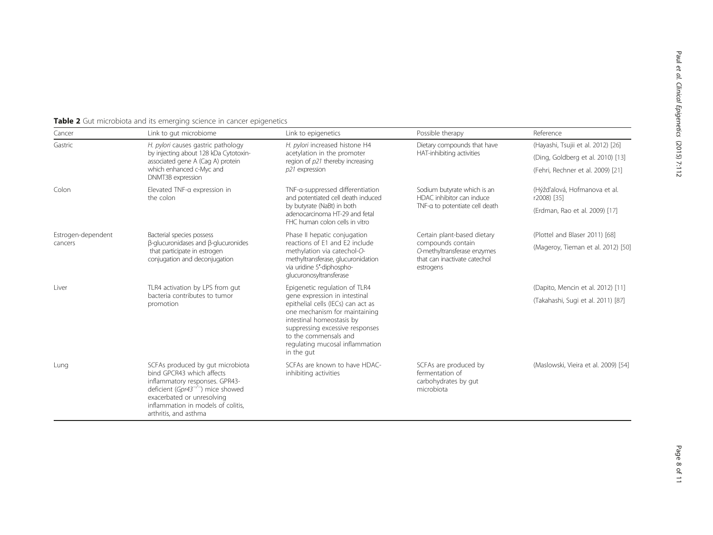| Cancer                        | Link to gut microbiome                                                                                                                                                                                                                  | Link to epigenetics                                                                                                                                                                                                                                                             | Possible therapy                                                                                                             | Reference                                                                                                    |
|-------------------------------|-----------------------------------------------------------------------------------------------------------------------------------------------------------------------------------------------------------------------------------------|---------------------------------------------------------------------------------------------------------------------------------------------------------------------------------------------------------------------------------------------------------------------------------|------------------------------------------------------------------------------------------------------------------------------|--------------------------------------------------------------------------------------------------------------|
| Gastric                       | H. pylori causes gastric pathology<br>by injecting about 128 kDa Cytotoxin-<br>associated gene A (Cag A) protein<br>which enhanced c-Myc and                                                                                            | H. pylori increased histone H4<br>acetylation in the promoter<br>region of $p21$ thereby increasing<br>p21 expression                                                                                                                                                           | Dietary compounds that have<br>HAT-inhibiting activities                                                                     | (Hayashi, Tsujii et al. 2012) [26]<br>(Ding, Goldberg et al. 2010) [13]<br>(Fehri, Rechner et al. 2009) [21] |
| Colon                         | DNMT3B expression<br>Elevated TNF-a expression in<br>the colon                                                                                                                                                                          | TNF-a-suppressed differentiation<br>and potentiated cell death induced<br>by butyrate (NaBt) in both<br>adenocarcinoma HT-29 and fetal<br>FHC human colon cells in vitro                                                                                                        | Sodium butyrate which is an<br>HDAC inhibitor can induce<br>TNF-a to potentiate cell death                                   | (Hýžďalová, Hofmanova et al.<br>r2008) [35]<br>(Erdman, Rao et al. 2009) [17]                                |
| Estrogen-dependent<br>cancers | Bacterial species possess<br>$\beta$ -glucuronidases and $\beta$ -glucuronides<br>that participate in estrogen<br>conjugation and deconjugation                                                                                         | Phase II hepatic conjugation<br>reactions of F1 and F2 include<br>methylation via catechol-O-<br>methyltransferase, glucuronidation<br>via uridine 5'-diphospho-<br>qlucuronosyltransferase                                                                                     | Certain plant-based dietary<br>compounds contain<br>O-methyltransferase enzymes<br>that can inactivate catechol<br>estrogens | (Plottel and Blaser 2011) [68]<br>(Mageroy, Tieman et al. 2012) [50]                                         |
| Liver                         | TLR4 activation by LPS from gut<br>bacteria contributes to tumor<br>promotion                                                                                                                                                           | Epigenetic regulation of TLR4<br>gene expression in intestinal<br>epithelial cells (IECs) can act as<br>one mechanism for maintaining<br>intestinal homeostasis by<br>suppressing excessive responses<br>to the commensals and<br>regulating mucosal inflammation<br>in the gut |                                                                                                                              | (Dapito, Mencin et al. 2012) [11]<br>(Takahashi, Sugi et al. 2011) [87]                                      |
| Lung                          | SCFAs produced by gut microbiota<br>bind GPCR43 which affects<br>inflammatory responses. GPR43-<br>deficient ( $Gpr43^{-/-}$ ) mice showed<br>exacerbated or unresolving<br>inflammation in models of colitis.<br>arthritis, and asthma | SCEAs are known to have HDAC-<br>inhibiting activities                                                                                                                                                                                                                          | SCFAs are produced by<br>fermentation of<br>carbohydrates by gut<br>microbiota                                               | (Maslowski, Vieira et al. 2009) [54]                                                                         |

<span id="page-7-0"></span>Table 2 Gut microbiota and its emerging science in cancer epigenetics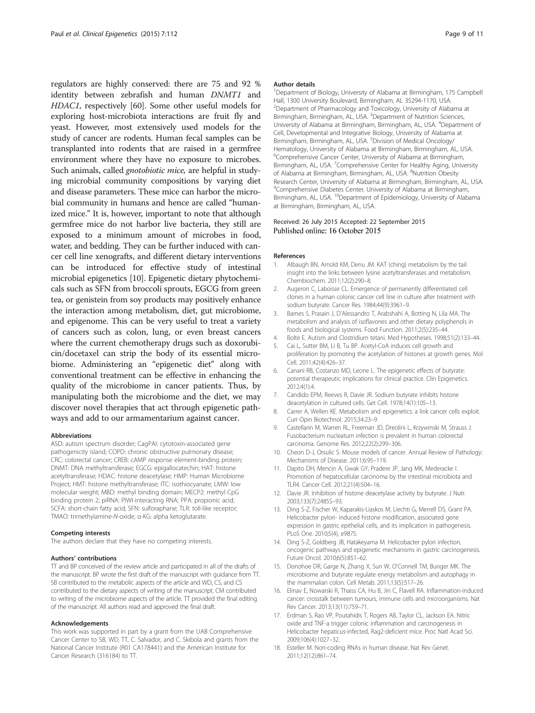<span id="page-8-0"></span>regulators are highly conserved: there are 75 and 92 % identity between zebrafish and human DNMT1 and HDAC1, respectively [\[60\]](#page-9-0). Some other useful models for exploring host-microbiota interactions are fruit fly and yeast. However, most extensively used models for the study of cancer are rodents. Human fecal samples can be transplanted into rodents that are raised in a germfree environment where they have no exposure to microbes. Such animals, called *gnotobiotic mice*, are helpful in studying microbial community compositions by varying diet and disease parameters. These mice can harbor the microbial community in humans and hence are called "humanized mice." It is, however, important to note that although germfree mice do not harbor live bacteria, they still are exposed to a minimum amount of microbes in food, water, and bedding. They can be further induced with cancer cell line xenografts, and different dietary interventions can be introduced for effective study of intestinal microbial epigenetics [10]. Epigenetic dietary phytochemicals such as SFN from broccoli sprouts, EGCG from green tea, or genistein from soy products may positively enhance the interaction among metabolism, diet, gut microbiome, and epigenome. This can be very useful to treat a variety of cancers such as colon, lung, or even breast cancers where the current chemotherapy drugs such as doxorubicin/docetaxel can strip the body of its essential microbiome. Administering an "epigenetic diet" along with conventional treatment can be effective in enhancing the quality of the microbiome in cancer patients. Thus, by manipulating both the microbiome and the diet, we may discover novel therapies that act through epigenetic pathways and add to our armamentarium against cancer.

#### Abbreviations

ASD: autism spectrum disorder; CagPAI: cytotoxin-associated gene pathogenicity island; COPD: chronic obstructive pulmonary disease; CRC: colorectal cancer; CREB: cAMP response element-binding protein; DNMT: DNA methyltransferase; EGCG: epigallocatechin; HAT: histone acetyltransferase; HDAC: histone deacetylase; HMP: Human Microbiome Project; HMT: histone methyltransferase; ITC: isothiocyanate; LMW: low molecular weight; MBD: methyl binding domain; MECP2: methyl CpG binding protein 2; piRNA: PIWI-interacting RNA; PPA: propionic acid; SCFA: short-chain fatty acid; SFN: sulforaphane; TLR: toll-like receptor; TMAO: trimethylamine-N-oxide; α-KG: alpha ketoglutarate.

#### Competing interests

The authors declare that they have no competing interests.

#### Authors' contributions

TT and BP conceived of the review article and participated in all of the drafts of the manuscript. BP wrote the first draft of the manuscript with guidance from TT. SB contributed to the metabolic aspects of the article and WD, CS, and CS contributed to the dietary aspects of writing of the manuscript. CM contributed to writing of the microbiome aspects of the article. TT provided the final editing of the manuscript. All authors read and approved the final draft.

#### Acknowledgements

This work was supported in part by a grant from the UAB Comprehensive Cancer Center to SB, WD, TT, C. Salvador, and C. Skibola and grants from the National Cancer Institute (R01 CA178441) and the American Institute for Cancer Research (316184) to TT.

#### Author details

<sup>1</sup>Department of Biology, University of Alabama at Birmingham, 175 Campbell Hall, 1300 University Boulevard, Birmingham, AL 35294-1170, USA. <sup>2</sup> Department of Pharmacology and Toxicology, University of Alabama at Birmingham, Birmingham, AL, USA. <sup>3</sup>Department of Nutrition Sciences, University of Alabama at Birmingham, Birmingham, AL, USA. <sup>4</sup>Department of Cell, Developmental and Integrative Biology, University of Alabama at Birmingham, Birmingham, AL, USA. <sup>5</sup> Division of Medical Oncology, Hematology, University of Alabama at Birmingham, Birmingham, AL, USA. 6 Comprehensive Cancer Center, University of Alabama at Birmingham, Birmingham, AL, USA. <sup>7</sup> Comprehensive Center for Healthy Aging, University of Alabama at Birmingham, Birmingham, AL, USA. <sup>8</sup>Nutrition Obesity Research Center, University of Alabama at Birmingham, Birmingham, AL, USA. <sup>9</sup> Comprehensive Diabetes Center, University of Alabama at Birmingham, Birmingham, AL, USA. <sup>10</sup>Department of Epidemiology, University of Alabama at Birmingham, Birmingham, AL, USA.

#### Received: 26 July 2015 Accepted: 22 September 2015 Published online: 16 October 2015

#### References

- 1. Albaugh BN, Arnold KM, Denu JM. KAT (ching) metabolism by the tail: insight into the links between lysine acetyltransferases and metabolism. Chembiochem. 2011;12(2):290–8.
- 2. Augeron C, Laboisse CL. Emergence of permanently differentiated cell clones in a human colonic cancer cell line in culture after treatment with sodium butyrate. Cancer Res. 1984;44(9):3961–9.
- 3. Barnes S, Prasain J, D'Alessandro T, Arabshahi A, Botting N, Lila MA. The metabolism and analysis of isoflavones and other dietary polyphenols in foods and biological systems. Food Function. 2011;2(5):235–44.
- 4. Bolte E. Autism and Clostridium tetani. Med Hypotheses. 1998;51(2):133–44. 5. Cai L, Sutter BM, Li B, Tu BP. Acetyl-CoA induces cell growth and
- proliferation by promoting the acetylation of histones at growth genes. Mol Cell. 2011;42(4):426–37.
- 6. Canani RB, Costanzo MD, Leone L. The epigenetic effects of butyrate: potential therapeutic implications for clinical practice. Clin Epigenetics. 2012;4(1):4.
- 7. Candido EPM, Reeves R, Davie JR. Sodium butyrate inhibits histone deacetylation in cultured cells. Get Cell. 1978;14(1):105–13.
- 8. Carrer A, Wellen KE. Metabolism and epigenetics: a link cancer cells exploit. Curr Opin Biotechnol. 2015;34:23–9.
- 9. Castellarin M, Warren RL, Freeman JD, Dreolini L, Krzywinski M, Strauss J. Fusobacterium nucleatum infection is prevalent in human colorectal carcinoma. Genome Res. 2012;22(2):299–306.
- 10. Cheon D-J, Orsulic S. Mouse models of cancer. Annual Review of Pathology: Mechanisms of Disease. 2011;6:95–119.
- 11. Dapito DH, Mencin A, Gwak GY, Pradere JP, Jang MK, Mederacke I. Promotion of hepatocellular carcinoma by the intestinal microbiota and TLR4. Cancer Cell. 2012;21(4):504–16.
- 12. Davie JR. Inhibition of histone deacetylase activity by butyrate. J Nutr. 2003;133(7):2485S–93.
- 13. Ding S-Z, Fischer W, Kaparakis-Liaskos M, Liechti G, Merrell DS, Grant PA. Helicobacter pylori- induced histone modification, associated gene expression in gastric epithelial cells, and its implication in pathogenesis. PLoS One. 2010;5(4), e9875.
- 14. Ding S-Z, Goldberg JB, Hatakeyama M. Helicobacter pylori infection, oncogenic pathways and epigenetic mechanisms in gastric carcinogenesis. Future Oncol. 2010;6(5):851–62.
- 15. Donohoe DR, Garge N, Zhang X, Sun W, O'Connell TM, Bunger MK. The microbiome and butyrate regulate energy metabolism and autophagy in the mammalian colon. Cell Metab. 2011;13(5):517–26.
- 16. Elinav E, Nowarski R, Thaiss CA, Hu B, Jin C, Flavell RA. Inflammation-induced cancer: crosstalk between tumours, immune cells and microorganisms. Nat Rev Cancer. 2013;13(11):759–71.
- 17. Erdman S, Rao VP, Poutahidis T, Rogers AB, Taylor CL, Jackson EA. Nitric oxide and TNF-a trigger colonic inflammation and carcinogenesis in Helicobacter hepaticus-infected, Rag2-deficient mice. Proc Natl Acad Sci. 2009;106(4):1027–32.
- 18. Esteller M. Non-coding RNAs in human disease. Nat Rev Genet. 2011;12(12):861–74.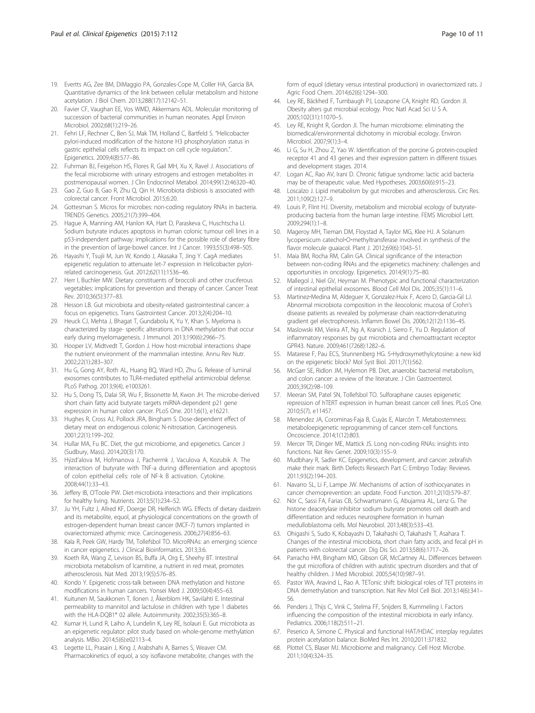- <span id="page-9-0"></span>19. Evertts AG, Zee BM, DiMaggio PA, Gonzales-Cope M, Coller HA, Garcia BA. Quantitative dynamics of the link between cellular metabolism and histone acetylation. J Biol Chem. 2013;288(17):12142–51.
- 20. Favier CF, Vaughan EE, Vos WMD, Akkermans ADL. Molecular monitoring of succession of bacterial communities in human neonates. Appl Environ Microbiol. 2002;68(1):219–26.
- 21. Fehri LF, Rechner C, Ben SJ, Mak TM, Holland C, Bartfeld S. "Helicobacter pylori-induced modification of the histone H3 phosphorylation status in gastric epithelial cells reflects its impact on cell cycle regulation.". Epigenetics. 2009;4(8):577–86.
- 22. Fuhrman BJ, Feigelson HS, Flores R, Gail MH, Xu X, Ravel J. Associations of the fecal microbiome with urinary estrogens and estrogen metabolites in postmenopausal women. J Clin Endocrinol Metabol. 2014;99(12):46320–40.
- 23. Gao Z, Guo B, Gao R, Zhu Q, Qin H. Microbiota disbiosis is associated with colorectal cancer. Front Microbiol. 2015;6:20.
- 24. Gottesman S. Micros for microbes: non-coding regulatory RNAs in bacteria. TRENDS Genetics. 2005;21(7):399–404.
- 25. Hague A, Manning AM, Hanlon KA, Hart D, Paraskeva C, Huschtscha LI. Sodium butyrate induces apoptosis in human colonic tumour cell lines in a p53-independent pathway: implications for the possible role of dietary fibre in the prevention of large-bowel cancer. Int J Cancer. 1993;55(3):498–505.
- 26. Hayashi Y, Tsujii M, Jun W, Kondo J, Akasaka T, Jing Y. CagA mediates epigenetic regulation to attenuate let-7 expression in Helicobacter pylorirelated carcinogenesis. Gut. 2012;62(11):1536–46.
- 27. Herr I, Buchler MW. Dietary constituents of broccoli and other cruciferous vegetables: implications for prevention and therapy of cancer. Cancer Treat Rev. 2010;36(5):377–83.
- 28. Hesson LB. Gut microbiota and obesity-related gastrointestinal cancer: a focus on epigenetics. Trans Gastrointest Cancer. 2013;2(4):204–10.
- 29. Heuck CJ, Mehta J, Bhagat T, Gundabolu K, Yu Y, Khan S. Myeloma is characterized by stage- specific alterations in DNA methylation that occur early during myelomagenesis. J Immunol. 2013;190(6):2966–75.
- 30. Hooper LV, Midtvedt T, Gordon J. How host-microbial interactions shape the nutrient environment of the mammalian intestine. Annu Rev Nutr. 2002;22(1):283–307.
- 31. Hu G, Gong AY, Roth AL, Huang BQ, Ward HD, Zhu G. Release of luminal exosomes contributes to TLR4-mediated epithelial antimicrobial defense. PLoS Pathog. 2013;9(4), e1003261.
- 32. Hu S, Dong TS, Dalai SR, Wu F, Bissonette M, Kwon JH. The microbe-derived short chain fatty acid butyrate targets miRNA-dependent p21 gene expression in human colon cancer. PLoS One. 2011;6(1), e16221.
- 33. Hughes R, Cross AJ, Pollock JRA, Bingham S. Dose-dependent effect of dietary meat on endogenous colonic N-nitrosation. Carcinogenesis. 2001;22(1):199–202.
- 34. Hullar MA, Fu BC. Diet, the gut microbiome, and epigenetics. Cancer J (Sudbury, Mass). 2014;20(3):170.
- 35. Hýzd'alova M, Hofmanova J, Pachermk J, Vaculova A, Kozubik A. The interaction of butyrate with TNF-a during differentiation and apoptosis of colon epithelial cells: role of NF-k B activation. Cytokine. 2008;44(1):33–43.
- 36. Jeffery IB, O'Toole PW. Diet-microbiota interactions and their implications for healthy living. Nutrients. 2013;5(1):234–52.
- 37. Ju YH, Fultz J, Allred KF, Doerge DR, Helferich WG. Effects of dietary daidzein and its metabolite, equol, at physiological concentrations on the growth of estrogen-dependent human breast cancer (MCF-7) tumors implanted in ovariectomized athymic mice. Carcinogenesis. 2006;27(4):856–63.
- 38. Kala R, Peek GW, Hardy TM, Tollefsbol TO. MicroRNAs: an emerging science in cancer epigenetics. J Clinical Bioinformatics. 2013;3:6.
- 39. Koeth RA, Wang Z, Levison BS, Buffa JA, Org E, Sheehy BT. Intestinal microbiota metabolism of lcarnitine, a nutrient in red meat, promotes atherosclerosis. Nat Med. 2013;19(5):576–85.
- 40. Kondo Y. Epigenetic cross-talk between DNA methylation and histone modifications in human cancers. Yonsei Med J. 2009;50(4):455–63.
- 41. Kuitunen M, Saukkonen T, Ilonen J, Åkerblom HK, Savilahti E. Intestinal permeability to mannitol and lactulose in children with type 1 diabetes with the HLA-DQB1\* 02 allele. Autoimmunity. 2002;35(5):365–8.
- 42. Kumar H, Lund R, Laiho A, Lundelin K, Ley RE, Isolauri E. Gut microbiota as an epigenetic regulator: pilot study based on whole-genome methylation analysis. MBio. 2014;5(6):e02113–4.
- 43. Legette LL, Prasain J, King J, Arabshahi A, Barnes S, Weaver CM. Pharmacokinetics of equol, a soy isoflavone metabolite, changes with the

form of equol (dietary versus intestinal production) in ovariectomized rats. J Agric Food Chem. 2014;62(6):1294–300.

- 44. Ley RE, Bäckhed F, Turnbaugh PJ, Lozupone CA, Knight RD, Gordon JI. Obesity alters gut microbial ecology. Proc Natl Acad Sci U S A. 2005;102(31):11070–5.
- 45. Ley RE, Knight R, Gordon JI. The human microbiome: eliminating the biomedical/environmental dichotomy in microbial ecology. Environ Microbiol. 2007;9(1):3–4.
- 46. Li G, Su H, Zhou Z, Yao W. Identification of the porcine G protein-coupled receptor 41 and 43 genes and their expression pattern in different tissues and development stages. 2014.
- 47. Logan AC, Rao AV, Irani D. Chronic fatigue syndrome: lactic acid bacteria may be of therapeutic value. Med Hypotheses. 2003;60(6):915–23.
- 48. Loscalzo J. Lipid metabolism by gut microbes and atherosclerosis. Circ Res. 2011;109(2):127–9.
- 49. Louis P, Flint HJ. Diversity, metabolism and microbial ecology of butyrateproducing bacteria from the human large intestine. FEMS Microbiol Lett. 2009;294(1):1–8.
- 50. Mageroy MH, Tieman DM, Floystad A, Taylor MG, Klee HJ. A Solanum lycopersicum catechol‐O‐methyltransferase involved in synthesis of the flavor molecule guaiacol. Plant J. 2012;69(6):1043–51.
- 51. Maia BM, Rocha RM, Calin GA. Clinical significance of the interaction between non-coding RNAs and the epigenetics machinery: challenges and opportunities in oncology. Epigenetics. 2014;9(1):75–80.
- 52. Mallegol J, Niel GV, Heyman M. Phenotypic and functional characterization of intestinal epithelial exosomes. Blood Cell Mol Dis. 2005;35(1):11–6.
- 53. Martinez‐Medina M, Aldeguer X, Gonzalez-Huix F, Acero D, Garcia-Gil LJ. Abnormal microbiota composition in the ileocolonic mucosa of Crohn's disease patients as revealed by polymerase chain reaction‐denaturing gradient gel electrophoresis. Inflamm Bowel Dis. 2006;12(12):1136–45.
- 54. Maslowski KM, Vieira AT, Ng A, Kranich J, Sierro F, Yu D. Regulation of inflammatory responses by gut microbiota and chemoattractant receptor GPR43. Nature. 2009;461(7268):1282–6.
- 55. Matarese F, Pau ECS, Stunnenberg HG. 5‐Hydroxymethylcytosine: a new kid on the epigenetic block? Mol Syst Biol. 2011;7(1):562.
- 56. McGarr SE, Ridlon JM, Hylemon PB. Diet, anaerobic bacterial metabolism, and colon cancer: a review of the literature. J Clin Gastroenterol. 2005;39(2):98–109.
- 57. Meeran SM, Patel SN, Tollefsbol TO. Sulforaphane causes epigenetic repression of hTERT expression in human breast cancer cell lines. PLoS One. 2010;5(7), e11457.
- 58. Menendez JA, Corominas-Faja B, Cuyàs E, Alarcón T. Metabostemness: metaboloepigenetic reprogramming of cancer stem-cell functions. Oncoscience. 2014;1(12):803.
- 59. Mercer TR, Dinger ME, Mattick JS. Long non-coding RNAs: insights into functions. Nat Rev Genet. 2009;10(3):155–9.
- 60. Mudbhary R, Sadler KC. Epigenetics, development, and cancer: zebrafish make their mark. Birth Defects Research Part C: Embryo Today: Reviews. 2011;93(2):194–203.
- 61. Navarro SL, Li F, Lampe JW. Mechanisms of action of isothiocyanates in cancer chemoprevention: an update. Food Function. 2011;2(10):579–87.
- 62. Nör C, Sassi FA, Farias CB, Schwartsmann G, Abujamra AL, Lenz G. The histone deacetylase inhibitor sodium butyrate promotes cell death and differentiation and reduces neurosphere formation in human medulloblastoma cells. Mol Neurobiol. 2013;48(3):533–43.
- 63. Ohigashi S, Sudo K, Kobayashi D, Takahashi O, Takahashi T, Asahara T. Changes of the intestinal microbiota, short chain fatty acids, and fecal pH in patients with colorectal cancer. Dig Dis Sci. 2013;58(6):1717–26.
- 64. Parracho HM, Bingham MO, Gibson GR, McCartney AL. Differences between the gut microflora of children with autistic spectrum disorders and that of healthy children. J Med Microbiol. 2005;54(10):987–91.
- 65. Pastor WA, Aravind L, Rao A. TETonic shift: biological roles of TET proteins in DNA demethylation and transcription. Nat Rev Mol Cell Biol. 2013;14(6):341– 56.
- 66. Penders J, Thijs C, Vink C, Stelma FF, Snijders B, Kummeling I. Factors influencing the composition of the intestinal microbiota in early infancy. Pediatrics. 2006;118(2):511–21.
- 67. Peserico A, Simone C. Physical and functional HAT/HDAC interplay regulates protein acetylation balance. BioMed Res Int. 2010;2011:371832.
- 68. Plottel CS, Blaser MJ. Microbiome and malignancy. Cell Host Microbe. 2011;10(4):324–35.